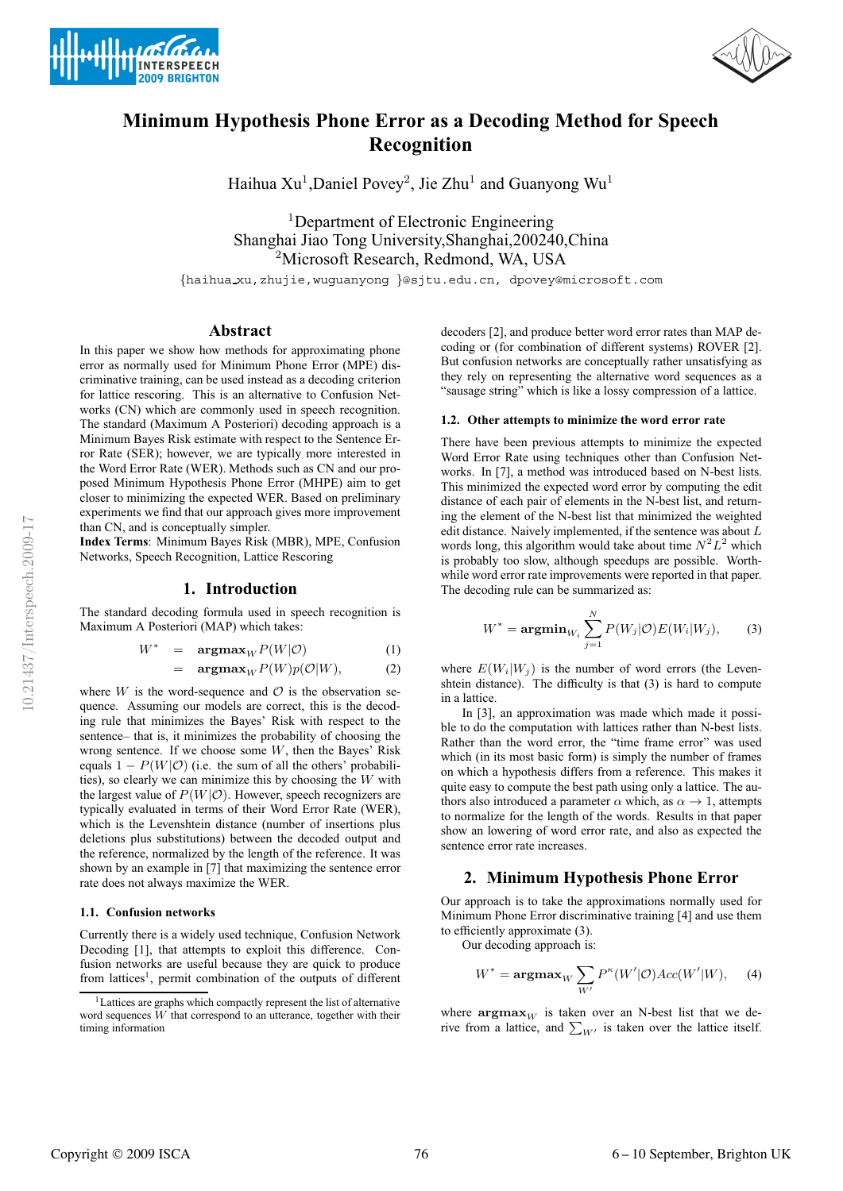







# **Minimum Hypothesis Phone Error as a Decoding Method for Speech Recognition**

Haihua Xu<sup>1</sup>, Daniel Povey<sup>2</sup>, Jie Zhu<sup>1</sup> and Guanyong Wu<sup>1</sup>

<sup>1</sup>Department of Electronic Engineering Shanghai Jiao Tong University,Shanghai,200240,China <sup>2</sup>Microsoft Research, Redmond, WA, USA

{haihua xu,zhujie,wuguanyong }@sjtu.edu.cn, dpovey@microsoft.com

# **Abstract**

In this paper we show how methods for approximating phone error as normally used for Minimum Phone Error (MPE) discriminative training, can be used instead as a decoding criterion for lattice rescoring. This is an alternative to Confusion Networks (CN) which are commonly used in speech recognition. The standard (Maximum A Posteriori) decoding approach is a Minimum Bayes Risk estimate with respect to the Sentence Error Rate (SER); however, we are typically more interested in the Word Error Rate (WER). Methods such as CN and our proposed Minimum Hypothesis Phone Error (MHPE) aim to get closer to minimizing the expected WER. Based on preliminary experiments we find that our approach gives more improvement than CN, and is conceptually simpler.

**Index Terms**: Minimum Bayes Risk (MBR), MPE, Confusion Networks, Speech Recognition, Lattice Rescoring

## **1. Introduction**

The standard decoding formula used in speech recognition is Maximum A Posteriori (MAP) which takes:

$$
W^* = \mathbf{argmax}_W P(W|\mathcal{O}) \tag{1}
$$

$$
= \operatorname{argmax}_{W} P(W)p(\mathcal{O}|W), \tag{2}
$$

where  $W$  is the word-sequence and  $\mathcal O$  is the observation sequence. Assuming our models are correct, this is the decoding rule that minimizes the Bayes' Risk with respect to the sentence– that is, it minimizes the probability of choosing the wrong sentence. If we choose some  $W$ , then the Bayes' Risk equals  $1 - P(W|O)$  (i.e. the sum of all the others' probabilities), so clearly we can minimize this by choosing the  $W$  with the largest value of  $P(W|O)$ . However, speech recognizers are typically evaluated in terms of their Word Error Rate (WER), which is the Levenshtein distance (number of insertions plus deletions plus substitutions) between the decoded output and the reference, normalized by the length of the reference. It was shown by an example in [7] that maximizing the sentence error rate does not always maximize the WER.

#### **1.1. Confusion networks**

Currently there is a widely used technique, Confusion Network Decoding [1], that attempts to exploit this difference. Confusion networks are useful because they are quick to produce from lattices<sup>1</sup>, permit combination of the outputs of different

decoders [2], and produce better word error rates than MAP decoding or (for combination of different systems) ROVER [2]. But confusion networks are conceptually rather unsatisfying as they rely on representing the alternative word sequences as a "sausage string" which is like a lossy compression of a lattice.

#### **1.2. Other attempts to minimize the word error rate**

There have been previous attempts to minimize the expected Word Error Rate using techniques other than Confusion Networks. In [7], a method was introduced based on N-best lists. This minimized the expected word error by computing the edit distance of each pair of elements in the N-best list, and returning the element of the N-best list that minimized the weighted edit distance. Naively implemented, if the sentence was about  $L$ words long, this algorithm would take about time  $N^2L^2$  which is probably too slow, although speedups are possible. Worthwhile word error rate improvements were reported in that paper. The decoding rule can be summarized as:

$$
W^* = \mathop{\rm argmin}_{W_i} \sum_{j=1}^N P(W_j | \mathcal{O}) E(W_i | W_j), \qquad (3)
$$

where  $E(W_i|W_j)$  is the number of word errors (the Levenshtein distance). The difficulty is that (3) is hard to compute in a lattice.

In [3], an approximation was made which made it possible to do the computation with lattices rather than N-best lists. Rather than the word error, the "time frame error" was used which (in its most basic form) is simply the number of frames on which a hypothesis differs from a reference. This makes it quite easy to compute the best path using only a lattice. The authors also introduced a parameter  $\alpha$  which, as  $\alpha \rightarrow 1$ , attempts to normalize for the length of the words. Results in that paper show an lowering of word error rate, and also as expected the sentence error rate increases.

## **2. Minimum Hypothesis Phone Error**

Our approach is to take the approximations normally used for Minimum Phone Error discriminative training [4] and use them to efficiently approximate (3).

Our decoding approach is:

$$
W^* = \operatorname{argmax}_{W} \sum_{W'} P^{\kappa}(W'|\mathcal{O})Acc(W'|W), \quad (4)
$$

where  $\operatorname{argmax}_W$  is taken over an N-best list that we derive from a lattice, and  $\sum_{W'}$  is taken over the lattice itself.

<sup>&</sup>lt;sup>1</sup>Lattices are graphs which compactly represent the list of alternative word sequences  $W$  that correspond to an utterance, together with their timing information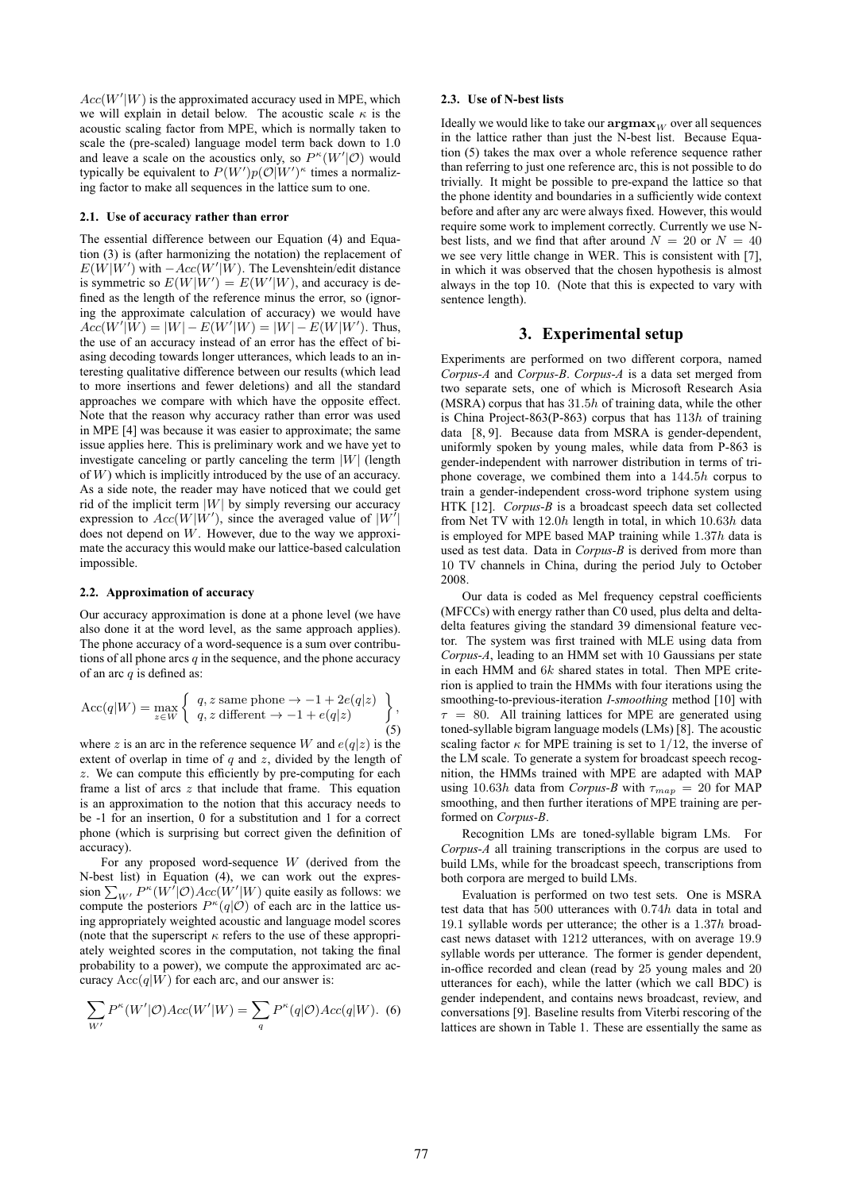$Acc(W'|W)$  is the approximated accuracy used in MPE, which we will explain in detail below. The acoustic scale  $\kappa$  is the acoustic scaling factor from MPE, which is normally taken to scale the (pre-scaled) language model term back down to 1.0 and leave a scale on the acoustics only, so  $P^{\kappa}(W'|\mathcal{O})$  would typically be equivalent to  $P(W')p(O|W')^{\kappa}$  times a normalizing factor to make all sequences in the lattice sum to one.

#### **2.1. Use of accuracy rather than error**

The essential difference between our Equation (4) and Equation (3) is (after harmonizing the notation) the replacement of  $E(W|W')$  with  $-Acc(W'|W)$ . The Levenshtein/edit distance is symmetric so  $E(W|W') = E(W'|W)$ , and accuracy is defined as the length of the reference minus the error, so (ignoring the approximate calculation of accuracy) we would have  $Acc(W'|W) = |W| - E(W'|W) = |W| - E(W|W')$ . Thus, the use of an accuracy instead of an error has the effect of biasing decoding towards longer utterances, which leads to an interesting qualitative difference between our results (which lead to more insertions and fewer deletions) and all the standard approaches we compare with which have the opposite effect. Note that the reason why accuracy rather than error was used in MPE [4] was because it was easier to approximate; the same issue applies here. This is preliminary work and we have yet to investigate canceling or partly canceling the term  $|W|$  (length of W) which is implicitly introduced by the use of an accuracy. As a side note, the reader may have noticed that we could get rid of the implicit term  $|W|$  by simply reversing our accuracy expression to  $Acc(W|W')$ , since the averaged value of  $|W'|$ does not depend on W. However, due to the way we approximate the accuracy this would make our lattice-based calculation impossible.

#### **2.2. Approximation of accuracy**

Our accuracy approximation is done at a phone level (we have also done it at the word level, as the same approach applies). The phone accuracy of a word-sequence is a sum over contributions of all phone arcs  $q$  in the sequence, and the phone accuracy of an arc  $q$  is defined as:

$$
\text{Acc}(q|W) = \max_{z \in W} \left\{ \begin{array}{l} q, z \text{ same phone} \to -1 + 2e(q|z) \\ q, z \text{ different} \to -1 + e(q|z) \end{array} \right\},\tag{5}
$$

where z is an arc in the reference sequence W and  $e(q|z)$  is the extent of overlap in time of  $q$  and  $z$ , divided by the length of z. We can compute this efficiently by pre-computing for each frame a list of arcs  $z$  that include that frame. This equation is an approximation to the notion that this accuracy needs to be -1 for an insertion, 0 for a substitution and 1 for a correct phone (which is surprising but correct given the definition of accuracy).

For any proposed word-sequence  $W$  (derived from the N-best list) in Equation (4), we can work out the expression  $\sum_{W'} P^{\kappa}(W'|\mathcal{O})Acc(W'|W)$  quite easily as follows: we compute the posteriors  $P^{\kappa}(q|\mathcal{O})$  of each arc in the lattice using appropriately weighted acoustic and language model scores (note that the superscript  $\kappa$  refers to the use of these appropriately weighted scores in the computation, not taking the final probability to a power), we compute the approximated arc accuracy  $Acc(q|W)$  for each arc, and our answer is:

$$
\sum_{W'} P^{\kappa}(W'|\mathcal{O})Acc(W'|W) = \sum_{q} P^{\kappa}(q|\mathcal{O})Acc(q|W). \tag{6}
$$

#### **2.3. Use of N-best lists**

Ideally we would like to take our  $\operatorname{argmax}_{W}$  over all sequences in the lattice rather than just the N-best list. Because Equation (5) takes the max over a whole reference sequence rather than referring to just one reference arc, this is not possible to do trivially. It might be possible to pre-expand the lattice so that the phone identity and boundaries in a sufficiently wide context before and after any arc were always fixed. However, this would require some work to implement correctly. Currently we use Nbest lists, and we find that after around  $N = 20$  or  $N = 40$ we see very little change in WER. This is consistent with [7], in which it was observed that the chosen hypothesis is almost always in the top 10. (Note that this is expected to vary with sentence length).

# **3. Experimental setup**

Experiments are performed on two different corpora, named *Corpus-A* and *Corpus-B*. *Corpus-A* is a data set merged from two separate sets, one of which is Microsoft Research Asia (MSRA) corpus that has  $31.5h$  of training data, while the other is China Project-863(P-863) corpus that has  $113h$  of training data [8, 9]. Because data from MSRA is gender-dependent, uniformly spoken by young males, while data from P-863 is gender-independent with narrower distribution in terms of triphone coverage, we combined them into a 144.5h corpus to train a gender-independent cross-word triphone system using HTK [12]. *Corpus-B* is a broadcast speech data set collected from Net TV with 12.0h length in total, in which 10.63h data is employed for MPE based MAP training while 1.37h data is used as test data. Data in *Corpus-B* is derived from more than 10 TV channels in China, during the period July to October 2008.

Our data is coded as Mel frequency cepstral coefficients (MFCCs) with energy rather than C0 used, plus delta and deltadelta features giving the standard 39 dimensional feature vector. The system was first trained with MLE using data from *Corpus-A*, leading to an HMM set with <sup>10</sup> Gaussians per state in each HMM and 6k shared states in total. Then MPE criterion is applied to train the HMMs with four iterations using the smoothing-to-previous-iteration *I-smoothing* method [10] with  $\tau = 80$ . All training lattices for MPE are generated using toned-syllable bigram language models (LMs) [8]. The acoustic scaling factor  $\kappa$  for MPE training is set to 1/12, the inverse of the LM scale. To generate a system for broadcast speech recognition, the HMMs trained with MPE are adapted with MAP using 10.63h data from *Corpus-B* with  $\tau_{map} = 20$  for MAP smoothing, and then further iterations of MPE training are performed on *Corpus-B*.

Recognition LMs are toned-syllable bigram LMs. For *Corpus-A* all training transcriptions in the corpus are used to build LMs, while for the broadcast speech, transcriptions from both corpora are merged to build LMs.

Evaluation is performed on two test sets. One is MSRA test data that has 500 utterances with 0.74h data in total and 19.1 syllable words per utterance; the other is a 1.37h broadcast news dataset with 1212 utterances, with on average 19.9 syllable words per utterance. The former is gender dependent, in-office recorded and clean (read by 25 young males and 20 utterances for each), while the latter (which we call BDC) is gender independent, and contains news broadcast, review, and conversations [9]. Baseline results from Viterbi rescoring of the lattices are shown in Table 1. These are essentially the same as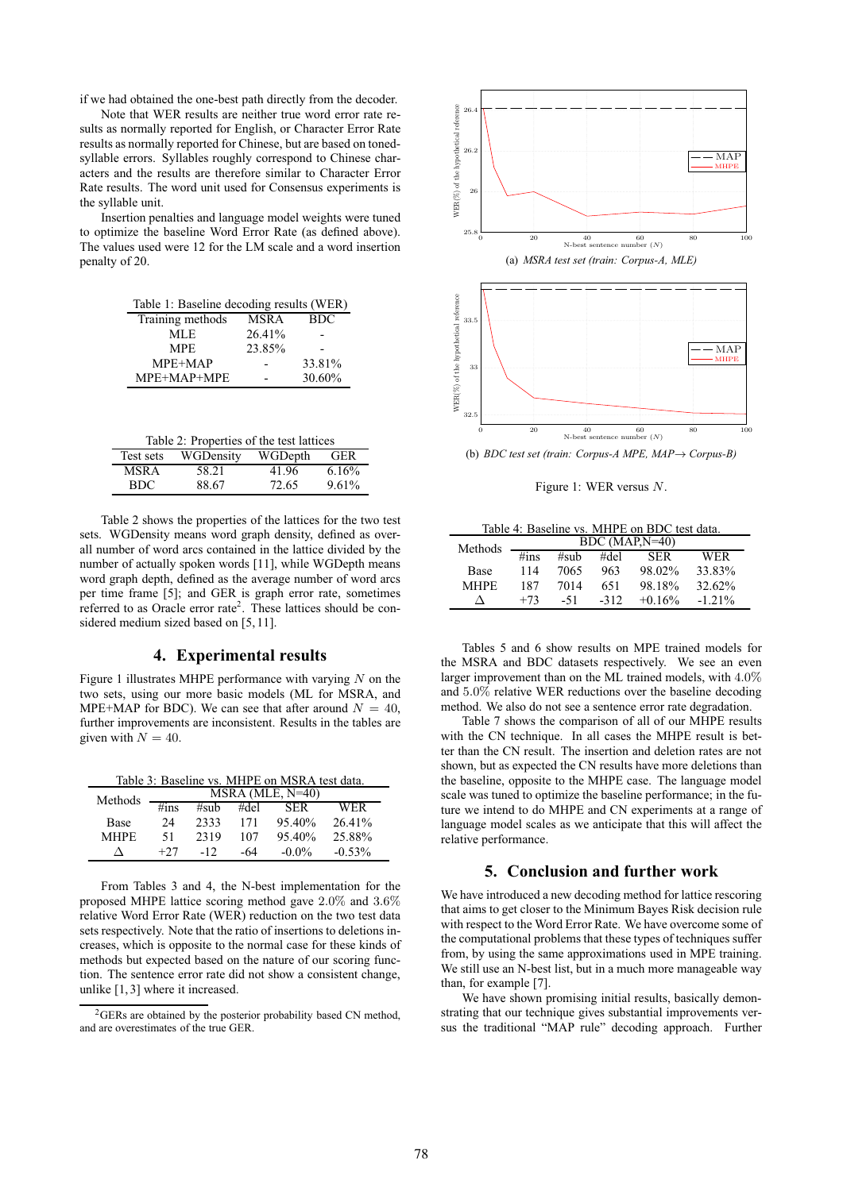if we had obtained the one-best path directly from the decoder.

Note that WER results are neither true word error rate results as normally reported for English, or Character Error Rate results as normally reported for Chinese, but are based on tonedsyllable errors. Syllables roughly correspond to Chinese characters and the results are therefore similar to Character Error Rate results. The word unit used for Consensus experiments is the syllable unit.

Insertion penalties and language model weights were tuned to optimize the baseline Word Error Rate (as defined above). The values used were 12 for the LM scale and a word insertion penalty of 20.

| Table 1: Baseline decoding results (WER) |             |            |  |  |  |
|------------------------------------------|-------------|------------|--|--|--|
| Training methods                         | <b>MSRA</b> | <b>BDC</b> |  |  |  |
| MLE.                                     | 26.41%      |            |  |  |  |
| <b>MPE</b>                               | 23.85%      |            |  |  |  |
| MPE+MAP                                  |             | 33.81%     |  |  |  |
| MPE+MAP+MPE                              |             | 30.60%     |  |  |  |

|  | Table 2: Properties of the test lattices |  |  |  |
|--|------------------------------------------|--|--|--|
|--|------------------------------------------|--|--|--|

| Test sets | WGDensity | WGDepth | <b>GER</b> |
|-----------|-----------|---------|------------|
| MSR A     | 58.21     | 41.96   | 6.16%      |
| BDC.      | 88.67     | 72.65   | 9.61%      |

Table 2 shows the properties of the lattices for the two test sets. WGDensity means word graph density, defined as overall number of word arcs contained in the lattice divided by the number of actually spoken words [11], while WGDepth means word graph depth, defined as the average number of word arcs per time frame [5]; and GER is graph error rate, sometimes referred to as Oracle error rate<sup>2</sup>. These lattices should be considered medium sized based on [5, 11].

### **4. Experimental results**

Figure 1 illustrates MHPE performance with varying  $N$  on the two sets, using our more basic models (ML for MSRA, and MPE+MAP for BDC). We can see that after around  $N = 40$ , further improvements are inconsistent. Results in the tables are given with  $N = 40$ .

Table 3: Baseline vs. MHPE on MSRA test data.

| Methods     |                   |       |      | $MSRA$ (MLE, $N=40$ ) |           |
|-------------|-------------------|-------|------|-----------------------|-----------|
|             | $\frac{1}{4}$ ins | #sub  | #del | <b>SER</b>            | WER       |
| <b>Base</b> | 24                | 2333  | 171  | $95.40\%$             | 26.41%    |
| MHPF.       | 51                | 2319  | 107  | $95.40\%$             | 25.88%    |
| Л           | $+27$             | $-12$ | -64  | $-0.0\%$              | $-0.53\%$ |

From Tables 3 and 4, the N-best implementation for the proposed MHPE lattice scoring method gave 2.0% and 3.6% relative Word Error Rate (WER) reduction on the two test data sets respectively. Note that the ratio of insertions to deletions increases, which is opposite to the normal case for these kinds of methods but expected based on the nature of our scoring function. The sentence error rate did not show a consistent change, unlike [1, 3] where it increased.





Figure 1: WER versus N.

Table 4: Baseline vs. MHPE on BDC test data.

| Methods     |                   |      |        | $BDC (MAP, N=40)$ |           |
|-------------|-------------------|------|--------|-------------------|-----------|
|             | $\frac{1}{4}$ ins | #sub | #del   | <b>SER</b>        | WER       |
| Base        | 114               | 7065 | 963    | 98.02%            | 33.83%    |
| <b>MHPF</b> | 187               | 7014 | 651    | 98.18%            | 32.62%    |
|             | $+73$             | -51  | $-312$ | $+0.16\%$         | $-1.21\%$ |

Tables 5 and 6 show results on MPE trained models for the MSRA and BDC datasets respectively. We see an even larger improvement than on the ML trained models, with 4.0% and 5.0% relative WER reductions over the baseline decoding method. We also do not see a sentence error rate degradation.

Table 7 shows the comparison of all of our MHPE results with the CN technique. In all cases the MHPE result is better than the CN result. The insertion and deletion rates are not shown, but as expected the CN results have more deletions than the baseline, opposite to the MHPE case. The language model scale was tuned to optimize the baseline performance; in the future we intend to do MHPE and CN experiments at a range of language model scales as we anticipate that this will affect the relative performance.

# **5. Conclusion and further work**

We have introduced a new decoding method for lattice rescoring that aims to get closer to the Minimum Bayes Risk decision rule with respect to the Word Error Rate. We have overcome some of the computational problems that these types of techniques suffer from, by using the same approximations used in MPE training. We still use an N-best list, but in a much more manageable way than, for example [7].

We have shown promising initial results, basically demonstrating that our technique gives substantial improvements versus the traditional "MAP rule" decoding approach. Further